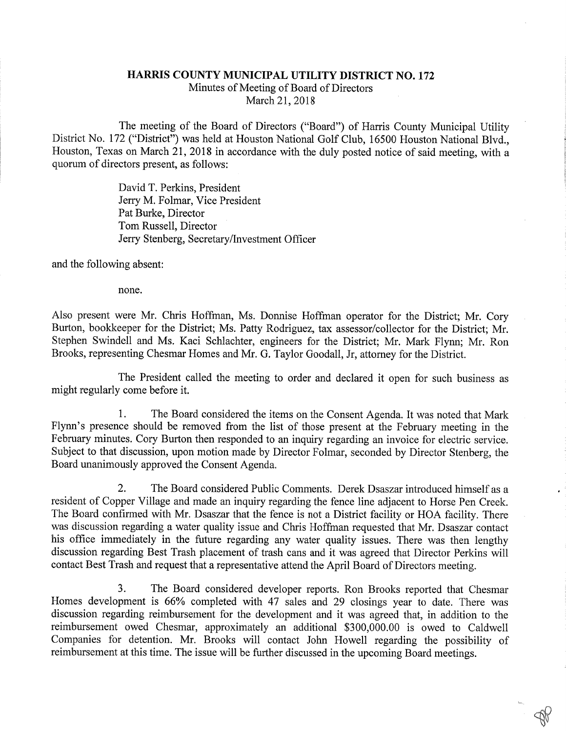## HARRIS COUNTY MUNICIPAL UTILITY DISTRICT NO. 172

Minutes of Meeting of Board of Directors

March 21, 2018

The meeting of the Board of Directors ("Board") of Harris County Municipal Utility District No. 172 ("District") was held at Houston National Golf Club, 16500 Houston National Blvd., Houston, Texas on March 21, 2018 in accordance with the duly posted notice of said meeting, with a quorum of directors present, as follows:

> David T. Perkins, President Jerry M. Folmar, Vice President Pat Burke, Director Tom Russell, Director Jerry Stenberg, Secretary/Investment Officer

and the following absent:

none.

Also present were Mr. Chris Hoffman, Ms. Donnise Hoffman operator for the District; Mr. Cory Burton, bookkeeper for the District; Ms. Patty Rodriguez, tax assessor/collector for the District; Mr. Stephen Swindell and Ms. Kaci Schlachter, engineers for the District; Mr. Mark Flynn; Mr. Ron Brooks, representing Chesmar Homes and Mr. G. Taylor Goodall, Jr, attorney for the District.

The President called the meeting to order and declared it open for such business as might regularly come before it.

1. The Board considered the items on the Consent Agenda. It was noted that Mark Flynn's presence should be removed from the list of those present at the February meeting in the February minutes. Cory Burton then responded to an inquiry regarding an invoice for electric service. Subject to that discussion, upon motion made by Director Folmar, seconded by Director Stenberg, the Board unanimously approved the Consent Agenda.

2. The Board considered Public Comments. Derek Dsaszar introduced himself as a resident of Copper Village and made an inquiry regarding the fence line adjacent to Horse Pen Creek. The Board confirmed with Mr. Dsaszar that the fence is not a District facility or HOA facility. There was discussion regarding a water quality issue and Chris Hoffman requested that Mr. Dsaszar contact his office immediately in the future regarding any water quality issues. There was then lengthy discussion regarding Best Trash placement of trash cans and it was agreed that Director Perkins will contact Best Trash and request that a representative attend the April Board of Directors meeting.

3. The Board considered developer reports. Ron Brooks reported that Chesmar Homes development is 66% completed with 47 sales and 29 closings year to date. There was discussion regarding reimbursement for the development and it was agreed that, in addition to the reimbursement owed Chesmar, approximately an additional \$300,000.00 is owed to Caldwell Companies for detention. Mr. Brooks will contact John Howell regarding the possibility of reimbursement at this time. The issue will be further discussed in the upcoming Board meetings.